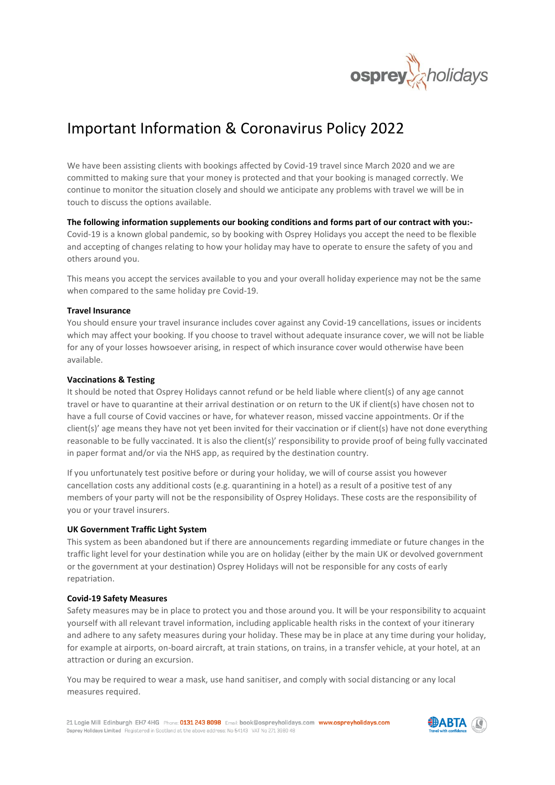

# Important Information & Coronavirus Policy 2022

We have been assisting clients with bookings affected by Covid-19 travel since March 2020 and we are committed to making sure that your money is protected and that your booking is managed correctly. We continue to monitor the situation closely and should we anticipate any problems with travel we will be in touch to discuss the options available.

**The following information supplements our booking conditions and forms part of our contract with you:-** Covid-19 is a known global pandemic, so by booking with Osprey Holidays you accept the need to be flexible and accepting of changes relating to how your holiday may have to operate to ensure the safety of you and others around you.

This means you accept the services available to you and your overall holiday experience may not be the same when compared to the same holiday pre Covid-19.

## **Travel Insurance**

You should ensure your travel insurance includes cover against any Covid-19 cancellations, issues or incidents which may affect your booking. If you choose to travel without adequate insurance cover, we will not be liable for any of your losses howsoever arising, in respect of which insurance cover would otherwise have been available.

#### **Vaccinations & Testing**

It should be noted that Osprey Holidays cannot refund or be held liable where client(s) of any age cannot travel or have to quarantine at their arrival destination or on return to the UK if client(s) have chosen not to have a full course of Covid vaccines or have, for whatever reason, missed vaccine appointments. Or if the client(s)' age means they have not yet been invited for their vaccination or if client(s) have not done everything reasonable to be fully vaccinated. It is also the client(s)' responsibility to provide proof of being fully vaccinated in paper format and/or via the NHS app, as required by the destination country.

If you unfortunately test positive before or during your holiday, we will of course assist you however cancellation costs any additional costs (e.g. quarantining in a hotel) as a result of a positive test of any members of your party will not be the responsibility of Osprey Holidays. These costs are the responsibility of you or your travel insurers.

#### **UK Government Traffic Light System**

This system as been abandoned but if there are announcements regarding immediate or future changes in the traffic light level for your destination while you are on holiday (either by the main UK or devolved government or the government at your destination) Osprey Holidays will not be responsible for any costs of early repatriation.

#### **Covid-19 Safety Measures**

Safety measures may be in place to protect you and those around you. It will be your responsibility to acquaint yourself with all relevant travel information, including applicable health risks in the context of your itinerary and adhere to any safety measures during your holiday. These may be in place at any time during your holiday, for example at airports, on-board aircraft, at train stations, on trains, in a transfer vehicle, at your hotel, at an attraction or during an excursion.

You may be required to wear a mask, use hand sanitiser, and comply with social distancing or any local measures required.

21 Logie Mill Edinburgh EH7 4HG Phone: 0131 243 8098 Email: book@ospreyholidays.com www.ospreyholidays.com Osprey Holidays Limited Registered in Scotland at the above address: No 54143 VAT No 271 3980 48

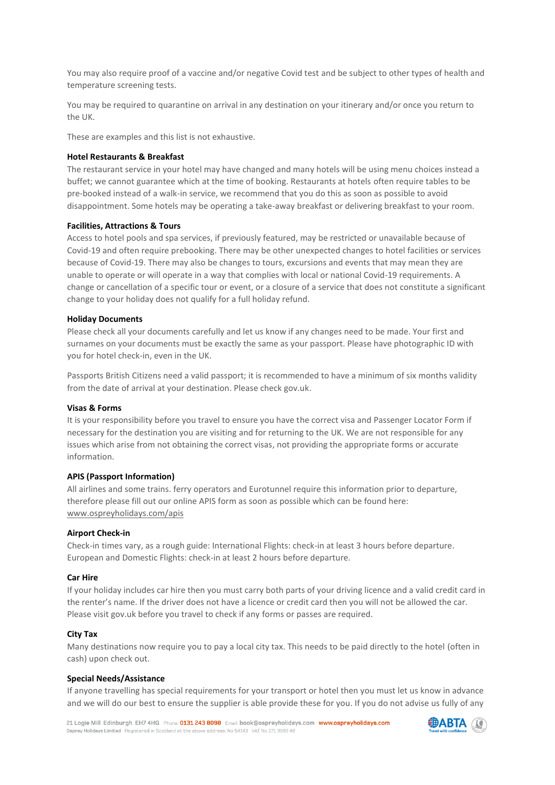You may also require proof of a vaccine and/or negative Covid test and be subject to other types of health and temperature screening tests.

You may be required to quarantine on arrival in any destination on your itinerary and/or once you return to the UK.

These are examples and this list is not exhaustive.

## **Hotel Restaurants & Breakfast**

The restaurant service in your hotel may have changed and many hotels will be using menu choices instead a buffet; we cannot guarantee which at the time of booking. Restaurants at hotels often require tables to be pre-booked instead of a walk-in service, we recommend that you do this as soon as possible to avoid disappointment. Some hotels may be operating a take-away breakfast or delivering breakfast to your room.

#### **Facilities, Attractions & Tours**

Access to hotel pools and spa services, if previously featured, may be restricted or unavailable because of Covid-19 and often require prebooking. There may be other unexpected changes to hotel facilities or services because of Covid-19. There may also be changes to tours, excursions and events that may mean they are unable to operate or will operate in a way that complies with local or national Covid-19 requirements. A change or cancellation of a specific tour or event, or a closure of a service that does not constitute a significant change to your holiday does not qualify for a full holiday refund.

#### **Holiday Documents**

Please check all your documents carefully and let us know if any changes need to be made. Your first and surnames on your documents must be exactly the same as your passport. Please have photographic ID with you for hotel check-in, even in the UK.

Passports British Citizens need a valid passport; it is recommended to have a minimum of six months validity from the date of arrival at your destination. Please check gov.uk.

#### **Visas & Forms**

It is your responsibility before you travel to ensure you have the correct visa and Passenger Locator Form if necessary for the destination you are visiting and for returning to the UK. We are not responsible for any issues which arise from not obtaining the correct visas, not providing the appropriate forms or accurate information.

#### **APIS (Passport Information)**

All airlines and some trains. ferry operators and Eurotunnel require this information prior to departure, therefore please fill out our online APIS form as soon as possible which can be found here: [www.ospreyholidays.com/apis](http://www.ospreyholidays.com/apis)

#### **Airport Check-in**

Check-in times vary, as a rough guide: International Flights: check-in at least 3 hours before departure. European and Domestic Flights: check-in at least 2 hours before departure.

#### **Car Hire**

If your holiday includes car hire then you must carry both parts of your driving licence and a valid credit card in the renter's name. If the driver does not have a licence or credit card then you will not be allowed the car. Please visit gov.uk before you travel to check if any forms or passes are required.

#### **City Tax**

Many destinations now require you to pay a local city tax. This needs to be paid directly to the hotel (often in cash) upon check out.

## **Special Needs/Assistance**

If anyone travelling has special requirements for your transport or hotel then you must let us know in advance and we will do our best to ensure the supplier is able provide these for you. If you do not advise us fully of any

21 Logie Mill Edinburgh EH7 4HG Phone: 0131 243 8098 Email: book@ospreyholidays.com www.ospreyholidays.com Osprey Holidays Limited Registered in Scotland at the above address: No 54143 VAT No 271 3980 48